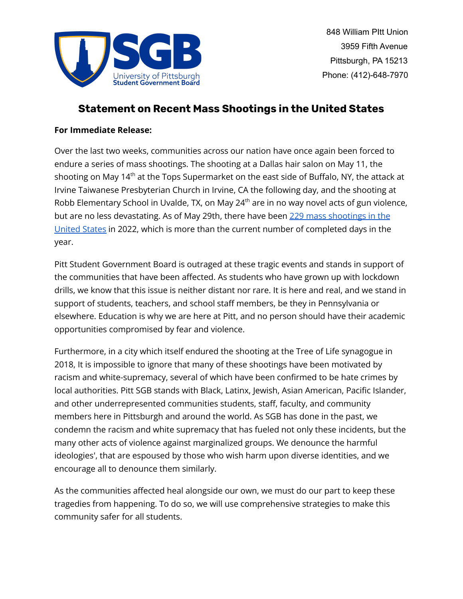

# **Statement on Recent Mass Shootings in the United States**

# **For Immediate Release:**

Over the last two weeks, communities across our nation have once again been forced to endure a series of mass shootings. The shooting at a Dallas hair salon on May 11, the shooting on May 14<sup>th</sup> at the Tops Supermarket on the east side of Buffalo, NY, the attack at Irvine Taiwanese Presbyterian Church in Irvine, CA the following day, and the shooting at Robb Elementary School in Uvalde, TX, on May 24<sup>th</sup> are in no way novel acts of gun violence, but are no less devastating. As of May 29th, there have been 229 mass [shootings](https://www.gunviolencearchive.org) in the [United](https://www.gunviolencearchive.org) States in 2022, which is more than the current number of completed days in the year.

Pitt Student Government Board is outraged at these tragic events and stands in support of the communities that have been affected. As students who have grown up with lockdown drills, we know that this issue is neither distant nor rare. It is here and real, and we stand in support of students, teachers, and school staff members, be they in Pennsylvania or elsewhere. Education is why we are here at Pitt, and no person should have their academic opportunities compromised by fear and violence.

Furthermore, in a city which itself endured the shooting at the Tree of Life synagogue in 2018, It is impossible to ignore that many of these shootings have been motivated by racism and white-supremacy, several of which have been confirmed to be hate crimes by local authorities. Pitt SGB stands with Black, Latinx, Jewish, Asian American, Pacific Islander, and other underrepresented communities students, staff, faculty, and community members here in Pittsburgh and around the world. As SGB has done in the past, we condemn the racism and white supremacy that has fueled not only these incidents, but the many other acts of violence against marginalized groups. We denounce the harmful ideologies', that are espoused by those who wish harm upon diverse identities, and we encourage all to denounce them similarly.

As the communities affected heal alongside our own, we must do our part to keep these tragedies from happening. To do so, we will use comprehensive strategies to make this community safer for all students.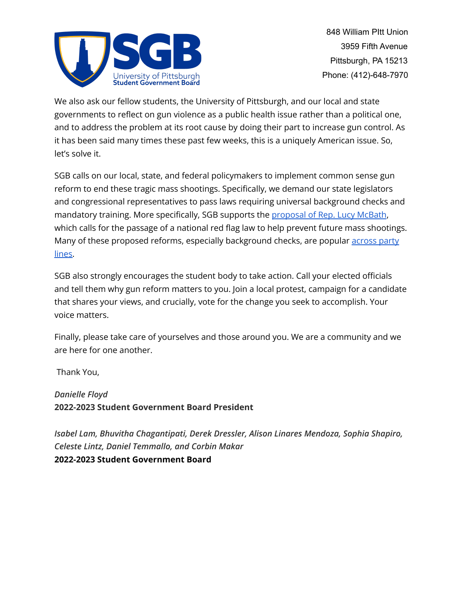

We also ask our fellow students, the University of Pittsburgh, and our local and state governments to reflect on gun violence as a public health issue rather than a political one, and to address the problem at its root cause by doing their part to increase gun control. As it has been said many times these past few weeks, this is a uniquely American issue. So, let's solve it.

SGB calls on our local, state, and federal policymakers to implement common sense gun reform to end these tragic mass shootings. Specifically, we demand our state legislators and congressional representatives to pass laws requiring universal background checks and mandatory training. More specifically, SGB supports the [proposal](https://www.congress.gov/bill/117th-congress/house-bill/2377) of Rep. Lucy McBath, which calls for the passage of a national red flag law to help prevent future mass shootings. Many of these proposed reforms, especially background checks, are popular [across](https://www.pewresearch.org/fact-tank/2021/09/13/key-facts-about-americans-and-guns/) party [lines.](https://www.pewresearch.org/fact-tank/2021/09/13/key-facts-about-americans-and-guns/)

SGB also strongly encourages the student body to take action. Call your elected officials and tell them why gun reform matters to you. Join a local protest, campaign for a candidate that shares your views, and crucially, vote for the change you seek to accomplish. Your voice matters.

Finally, please take care of yourselves and those around you. We are a community and we are here for one another.

Thank You,

*Danielle Floyd* **2022-2023 Student Government Board President**

*Isabel Lam, Bhuvitha Chagantipati, Derek Dressler, Alison Linares Mendoza, Sophia Shapiro, Celeste Lintz, Daniel Temmallo, and Corbin Makar* **2022-2023 Student Government Board**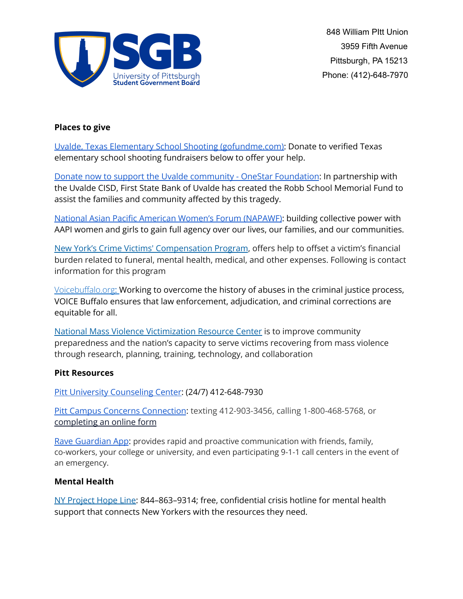

## **Places to give**

Uvalde, Texas Elementary School Shooting [\(gofundme.com\):](https://www.gofundme.com/c/act/donate-to-texas-elementary-school-shooting-relief) Donate to verified Texas elementary school shooting fundraisers below to offer your help.

Donate now to support the Uvalde community - OneStar [Foundation](https://onestarfoundation.org/uvalde): In partnership with the Uvalde CISD, First State Bank of Uvalde has created the Robb School Memorial Fund to assist the families and community affected by this tragedy.

National Asian Pacific American Women's Forum [\(NAPAWF\)](https://www.napawf.org/): building collective power with AAPI women and girls to gain full agency over our lives, our families, and our communities.

New York's Crime Victims' [Compensation](https://ovs.ny.gov/victim-compensation) Program, offers help to offset a victim's financial burden related to funeral, mental health, medical, and other expenses. Following is contact information for this program

Voicebuffalo.org: Working to overcome the history of abuses in the criminal justice process, VOICE Buffalo ensures that law enforcement, adjudication, and criminal corrections are equitable for all.

National Mass Violence [Victimization](https://www.nmvvrc.org/) Resource Center is to improve community preparedness and the nation's capacity to serve victims recovering from mass violence through research, planning, training, technology, and collaboration

### **Pitt Resources**

Pitt University [Counseling](https://www.studentaffairs.pitt.edu/cc/) Center: (24/7) 412-648-7930

Pitt Campus Concerns [Connection](https://app.convercent.com/en-US/LandingPage/2d6327d5-9fec-ea11-a974-000d3ab9f296?_=1612800567898): texting 412-903-3456, calling 1-800-468-5768, or [completing](https://app.convercent.com/en-US/LandingPage/2d6327d5-9fec-ea11-a974-000d3ab9f296?_=1612800567898) an online form

Rave [Guardian](https://apps.apple.com/us/app/rave-guardian/id691246562) App: provides rapid and proactive communication with friends, family, co-workers, your college or university, and even participating 9-1-1 call centers in the event of an emergency.

### **Mental Health**

NY [Project](https://nyprojecthope.org/) Hope Line: 844–863–9314; free, confidential crisis hotline for mental health support that connects New Yorkers with the resources they need.